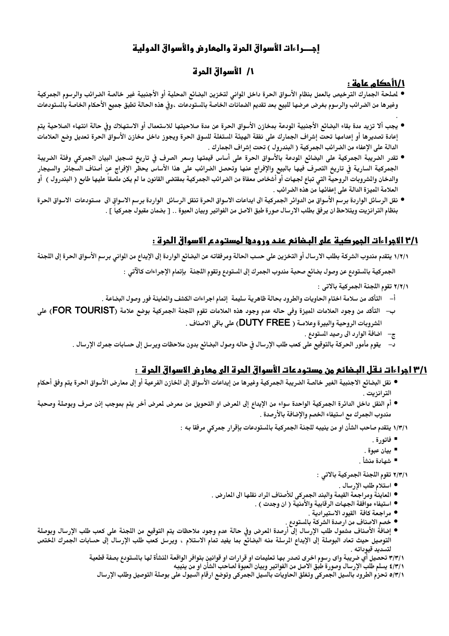# احصراءات الأسواق الحرة والمعارض والأسواق الدولية

# 1/ الأسواق الحرة

## 1/1أحكام عامة :

- لصلحة الجمارك الترخيص بالعمل بنظام الأسواق الحرة داخل الوانى لتخزين البضائع المحلية أو الأجنبية غير خالصة الضرائب والرسوم الجمركية وغيرها من الضرائب والرسوم بغرض عرضها للبيع بعد تقديم الضمانات الخاصة بالستودعات ،وفي هذه الحالة تطبق جميع الأحكام الخاصة بالستودعات
- يجب ألا تزيد مدة بقاء البضائع الأجنبية الودعة بمخازن الأسواق الحرة عن مدة صلاحيتها للاستعمال أو الاستهلاك وفى حالة انتهاء الصلاحية يتم إعادة تصديرها أو إعدامها تحت إشراف الجمارك على نفقة الهيئة الستغلة للسوق الحرة ويجوز داخل مخازن الأسواق الحرة تعديل وضع العلامات الدالة على الإعفاء من الضرائب الجمركية ( البندرول ) تحت إشراف الجمارك .
- تقدر الضريبة الجمركية على البضائع الودعة بالأسواق الحرة على أساس قيمتها وسعر الصرف فى تاريخ تسجيل البيان الجمركى وفئة الضريبة الجمركية السارية في تاريخ التصرف فيها بالبيع والإفراج عنها وتحصل الضرائب على هذا الأساس يحظر الإفراج عن أصناف السجائر والسيجار والدخان والمشروبات الروحية التي تباع لجهات أو أشخاص معفاة من الضرائب الجمركية بمقتضى القانون ما لم يكن ملصقا عليها طابع ( البندرول ) أو العلامة الميزة الدالة على إعفائها من هذه الضرائب .
- نقل الرسائل الواردة برسم الأسواق من الدوائر الجمركية الى ايداعات الاسواق الحرة تنقل الرسائل الواردة برسم الاسواق الى مستودعات الاسواق الحرة بنظام الترانزيت ويتلاحظ ان يرفق بطلب الارسال صورة طبق الاصل من الفواتير وبيان العبوة .. [ بضمان مقبول جمركيا ] .

# 1/٢ الأجراءات الجمركية على البضائع عند ورودها لمستودع الأسواق الحرة :

١/٢/١ يتقدم مندوب الشركة بطلب الارسال أو التخزين على حسب الحالة ومرفقاته عن البضائع الواردة إلى الإيداع من الموانى برسم الأسواق الحرة إلى اللجنة

الجمركية بالستودع عن وصول بضائع صحبة مندوب الجمرك إلى الستودع وتقوم اللجنة بإتمام الإجراءات كالآتي :

- ٢/٢/١ تقوم اللجنة الجمركية بالاتي :
- أ– التأكد من سلامة اختام الحاويات والطرود بحالة ظاهرية سليمة إتمام اجراءات الكشف والماينة فور وصول البضاعة .
- ب– التأكد من وجود العلامات الميزة وفي حاله عدم وجود هذه العلامات تقوم اللجنة الجمركية بوضع علامة (FOR TOURIST) على الشروبات الروحية والبيرة وعلامـة ( DUTY FREE) على باقي الاصناف .
	- ج- اضافة الوارد الى رصيد المستودع .
	- د– يقوم مأمور الحركة بالتوقيع على كعب طلب الإرسال في حاله وصول البضائع بدون ملاحظات ويرسل إلى حسابات جمرك الإرسال .

## ٣/١ اجراءات نـقل البـضائع من مستـودعات الأسواق الجرة الى معارض الاسواق الجرة ١٠

- نقل البضائع الاجنبية الغير خالصة الضريبة الجمركية وغيرها من إيداعات الأسواق إلى الخازن الفرعية أو إلى معارض الأسواق الحرة يتم وفق أحكام الترانزيت .
- أم النقل داخل الدائرة الجمركية الواحدة سواء من الإيداع إلى العرض او التحويل من معرض لعرض أخر يتم بموجب إنن صرف وبوصلة وصحبة مندوب الجمرك مع استيفاء الخصم والإضافة بالأرصدة .
	- ١/٣/١ يتقدم صاحب الشأن او من ينيبه للجنة الجمركية بالمستودعات بإقرار جمركي مرفقا به :
		- فاتورة .
		- بيان عبوة .
		- شهادة منشأ .

٢/٣/١ تقوم اللجنة الجمركية بالاتي :

- استلام طلب الإرسال .
- المعاينة ومراجعة القيمة والبند الجمركي للأصناف المراد نقلها الى المعارض .
	- استيفاء موافقة الجهات الرقابية والأمنية ( ان وجدت ) .
		- مراجعة كافة القيود الاستيرادية .
		- خصم الاصناف من ارصدة الشركة بالمستودع .
- إضافة الأصناف مشمول طلب الإرسال إلى أرصدة العرض وفي حالة عدم وجود ملاحظات يتم التوقيع من اللجنة على كعب طلب الإرسال وبوصلة التوصيل حيث تعاد البوصلة إلى الإيداع الرسلة منه البضائع بما يفيد تمام الاستلام ، ويرسل كعب طلب الإرسال إلى حسابات الجمرك الختص لتسديد قيوداته .

٣/٣/١ تحصيل أي ضريبة واى رسوم اخرى تصدر بها تعليمات او قرارات او قوانينٍ بتوافر الواقعة المنشأة لها بالستودع بصفة قطعية

٤/٣/١ يسلم طلَّب الإرسال وصورة طَّبٰق الأصل من الفواتير وبيان العبوة لصاحب الشأن او من ينيبـ؛

٥/٣/١ تحزم الطرود بالسيل الجمركي وتغلق الحاويات بالسيل الجمركي وتوضع ارقام السيول على بوصلة التوصيل وطلب الإرسال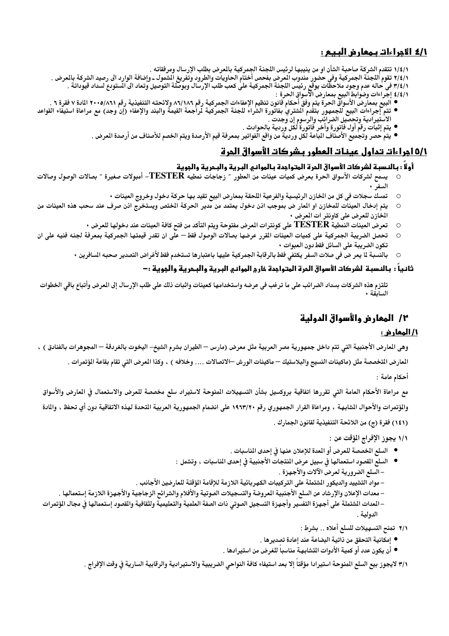## 1/٤ الأجراءات بمعارض البيع :

١/٤/١ تتقدم الشركة صاحبة الشأن او من ينيبها لرئيس اللجنة الجمركية بالمرض بطلب الإرسال ومرفقاته .

- 
- ٢/٤/١ تقوم اللجنة الجمركية وفي حضور مندوب العرض بفحص أختام الحاويات والطرود وتفريغ الشّمول ـ وإضافة الوارد الى رصيد الشركة بالعرض .<br>٢/٤/١ في حاله عدم وجود ملاحظات يوقع رئيس اللجنة الجمركية على كعب طلب الإرسال وبوصلة التوص
	- ٤/٤/١ إجراءات وضوابط البيع بمعارض الآسواق الحرة :
- البيع بمعارضَ الأسواقّ الحرة يتم وفق أحكام قانون تنظيم الإعفاءات الجمركية رقم ٨٦/١٨٦ ولائحته التنفيذية رقم ٢٠٠٥/٨٦١ المادة ٧ فقرة ٦ .
	-
	- يتم حصر وتجميع الأصنّاف الباعة لكّل وردية من واقع الفواتير بمعرفة قيم الأرصدة ويتم الخصم للأصناف من أرصدة العرض .

## 1/11مراءات تداول عينات العطور بشركات الأسواق الحرة

#### أولاً : بـالنـسبـة لشركات الأسواق المرة المتواجدة بـالموانـي البـريـة والبـمريـة والجويـة

- يسمح لشركات الأسواق الحرة بعرض كميات عينات من العطور ″ زجاجات نمطيه TESTER– أمبولات صغيرة ″ بصالات الوصول وصالات
	- تمسك سجلات في كل من المخازن الرئيسية والفرعية اللحقة بمعارض البيع تقيد بها حركة دخول وخروج العينات  $\circ$
- يتم إدخال العينات للمخازن او العار ض بموجب اذن دخول يعتمد من مدير الحركة الختص ويستخرج اذن صرف عند سحب هذه العينات من  $\circ$ المخازن للعرض على كاونتر ات المعرض ،
	- تعرض العينات النمطية TESTER على كونترات المرض مفتوحة ويتم التأكد من فتح كافة العينات عند دخولها للعرض  $\circ$
- تحصل الضريبة الجمركية على كميات العينات القرر عرضها بصالات الوصول فقط على ان تقدر قيمتها الجمركية بمعرفة لجنه فنيه على ان  $\circ$ تكون الضريبة على السائل فقط دون العبوات •
	- بالنسبة لما يعر ض في صلات السفر يكتفي فقط بالرقابة الجمركية عليها باعتبارها تستخدم فقط لأغراض التصدير صحبه السافرين ٠  $\Omega$

#### ثانياً : بـالنـسبـة لشركات الأسواق المرة المتواهدة خارج الموانـى البـريـة والبـمريـة والمويـة :-

تلتزم هذه الشركات بسداد الضرائب على ما ترغب في عرضه واستخدامها كعينات واثبات ذلك على طلب الإرسال إلى العرض وأتباع باقى الخطوات السابقة .

# ٢/ المعارض والأسواق الدولية

#### <u>1/ المعار ض:</u>

وهي المارض الأجنبية التي تتم داخل جمهورية مصر العربية مثل معرض (مارس — الطيران بشرم الشيخ– اليخوت بالغردقة — المجوهرات بالفنادق ) ،

المعارض التخصصة مثل (ماكينات النسيج والبلاستيك — ماكينات الورش —الاتصالات …. وخلافه ) ، وكذا المرض التي تقام بقاعة المؤتمرات .

أحكام عامة :

مع مراعاة الأحكام العامة التى تقررها اتفاقية بروكسيل بشأن التسهيلات المنوحة لاستيراد سلع مخصصة للعرض والاستعمال فى العارض والأسواق والؤتمرات والأحوال الشابهة ، ومراعاة القرار الجمهوري رقم ١٩٦٣/٢٠ على انضمام الجمهورية العربية المتحدة لهذه الاتفاقية دون أي تحفظ ، والمادة (١٤١) فقرة (ج) من اللائحة التنفيذية لقانون الجمارك .

١/١ يجوز الإفراج المؤقت عن :

- السلع المخصصة للعرض أو المعدة للإعلان عنها في إحدى المناسبات .
- السلع القصود استعمالها في سبيل عرض المنتجات الأجنبية في إحدى المناسبات ، وتشمل : – السلع الضرورية لعرض الآلات والأجهزة .
- مواد التشييد والديكور الشتملة على التركيبات الكهربائية اللازمة للإقامة الؤقتة للعارضين الأجانب .
- معدات الإعلان والإرشاد عن السلع الأجنبية المروضة والتسجيلات الصوتية والأفلام والشرائح الزجاجية والأجهزة اللازمة إستعمالها .
- –العدات الشتملة على أجهزة التفسير وأجهزة التسجيل الصوتى ذات الصفة العلمية والتعليمية ولثقافية والقصود إستعمالها فى مجال الؤتمرات الدولية .
	- ٢/١ تمنح التسهيلات للسلع أعلاه .. بشرط :
	- إمكانية التحقق من ذاتية البضاعة عند إعادة تصديرها .
	- أن يكون عدد أو كمية الأدوات المتشابهـة مناسباً للغرض من استيرادها .

٣/١ لايجوز بيع السلع المنوحة استيرادا مؤقتا إلا بعد استيفاء كافة النواحي الضريبية والاستيرادية والرقابية السارية في وقت الإفراج .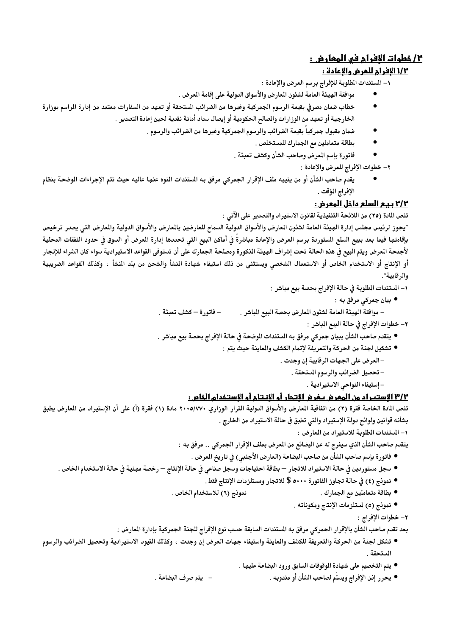## <u>٢/ خطوات الافرام في المعارض :</u>

### 11/2 الافرام للعرض والإعادة :

 $\bullet$ 

١– المستندات المطلوبة للإفراج برسم العرض والإعادة :

- موافقة الهيئة العامة لشئون المعارض والأسواق الدولية على إقامة المعرض .
- خطاب ضمان مصرفي بقيمة الرسوم الجمركية وغيرها من الضرائب الستحقة أو تعهد من السفارات معتمد من إدارة المراسم بوزارة الخارجية أو تعهد من الوزارات والصالح الحكومية أو إيصال سداد أمانة نقدية لحين إعادة التصدير .
	- ضمان مقبول جمركياً بقيمة الضرائب والرسوم الجمركية وغيرها من الضرائب والرسوم .
		- بطاقة متعاملين مع الجمارك للمستخلص .  $\bullet$
		- فاتورة بإسم المعرض وصاحب الشأن وكشف تعبئة .  $\bullet$

٢– خطوات الإفراج للعرض والإعادة :

يقدم صاحب الشأن أو من ينيبه ملف الإقرار الجمركي مرفق به المستندات النوه عنها عاليه حيث تتم الإجراءات الوضحة بنظام الإفراج المؤقت .

### ٢/٢ بيع السلع داخل المعرض :

تنص المادة (٢٥) من اللائحة التنفيذية لقانون الاستيراد والتصدير على الآتي :

″يجوز لرئيس مجلس إدارة الهيئة العامة لشئون العارض والأسواق الدولية السماح للعارضين بالعارض والأسواق الدولية والعارض التى يصدر ترخيص بإقامتها فيما بعد ببيع السلع الستوردة برسم العرض والإعادة مباشرة في أماكن البيع التي تحددها إدارة العرض أو السوق في حدود النفقات المحلية لأجنحة العرض ويتم البيع في هذه الحالة تحت إشراف الهيئة الذكورة ومصلحة الجمارك على أن تستوفي القواعد الاستيرادية سواء كان الشراء للإتجار أو الإنتاج أو الاستخدام الخاص أو الاستعمال الشخصى ويستثنى من ذلك استيفاء شهادة النشأ والشحن من بلد النشأ ، وكذلك القواعد الضريبية والرقابية".

١– المستندات الطلوبة في حالة الإفراج بحصة بيع مباشر :

- بيان جمرکي مرفق به ∶
- فاتورة كشف تعبئة . – موافقة الهيئة العامة لشئون المعارض بحصة البيع المباشر .

### ٢– خطوات الإفراج في حالة البيع المباشر :

- يتقدم صاحب الشأن ببيان جمركي مرفق به المستندات الموضحة في حالة الإفراج بحصة بيع مباشر .
	- تشكيل لجنة من الحركة والتعريفة لإتمام الكشف والماينة حيث يتم :
		- العرض على الجهات الرقابية إن وجدت .
			- تحصيل الضرائب والرسوم المستحقة .
				- إستيفاء النواحي الاستيرادية .

### ٣/٢ الاستيراد من المعرض بـغرض الاتجار أو الانـتام أو الاستخدام الخاص :

تنص المادة الخاصة فقرة (٢) من اتفاقية المارض والأسواق الدولية القرار الوزاري ٢٠٠٥/٧٧٠ مادة (١) فقرة (أ) على أن الإستيراد من المارض يطبق بشأنه قوانين ولوائح دولة الإستيراد والتي تطبق في حالة الاستيراد من الخارج .

١– المستندات المطلوبة للاستيراد من المعارض :

- يتقدم صاحب الشأن الذي سيفرج له عن البضائع من المعرض بملف الإقرار الجمركي .. مرفق بـه :
	- فاتورة بإسم صاحب الشأن من صاحب البضاعة (العارض الأجنبي) في تاريخ المعرض .
- سجل مستوردين في حالة الاستيراد للاتجار بطاقة احتياجات وسجل صناعي في حالة الإنتاج رخصة مهنية في حالة الاستخدام الخاص .
	- نمونج (٤) في حالة تجاوز الفاتورة ٥٠٠٠ \$ للاتجار ومستلزمات الإنتاج فقط .
	- نمونج (٦) للاستخدام الخاص . ● بطاقة متعاملين مع الجمارك .
		- نمونج (٥) لمستلزمات الإنتاج ومكوناته .

٢- خطوات الإفراج :

بعد تقدم صاحب الشأن بالإقرار الجمركي مرفق به المستندات السابقة حسب نوع الإفراج للجنة الجمركية بإدارة العارض :

- تشكل لجنة من الحركة والتعريفة للكشف والماينة واستيفاء جهات العرض إن وجدت ، وكذلك القيود الاستيرادية وتحصيل الضرائب والرسوم المستحقة .
	- يتم التخصيم على شهادة الموقوفات السابق ورود البضاعة عليها .
	- يتم صرف البضاعة . ● يحرر إذن الإفراج ويسلّم لصاحب الشأن أو مندوبه .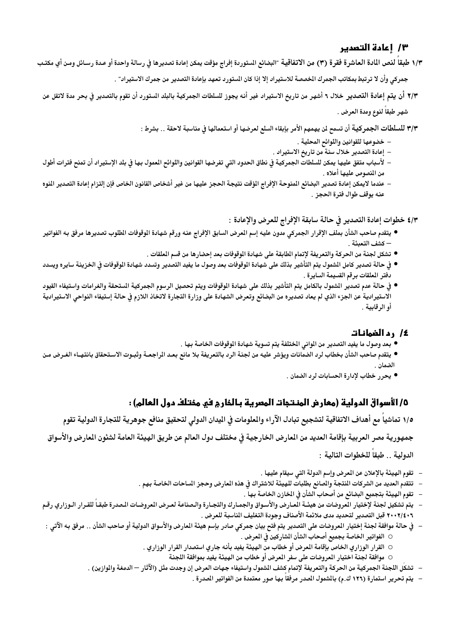### ٣/ 1عادة التصدير

١/٣ طبقاً لنص المادة العاشرة فقرة (٣) من الاتفاقية ″البضائع الستوردة إفراج مؤقت يمكن إعادة تصديرها في رسالة واحدة أو عدة رسائل ومن أي مكتب جمر كي وأن لا تر تبط بمكاتب الجمرك الخصصة للاستير اد إلا إذا كان الستور د تعهد بإعادة التصدير من جمرك الاستير اد" .

٢/٣ أن يتم إعادة التصدير خلال ٦ أشهر من تاريخ الاستيراد غير أنه يجوز للسلطات الجمركية بالبلد الستورد أن تقوم بالتصدير فى بحر مدة لاتقل عن شهر طبقاً لنوع ومدة العرض .

٣/٣ للسلطات الجمركية أن تسمح لن يهمهم الأمر بإبقاء السلع لعرضها أو استعمالها في مناسبة لاحقة .. بشرط :

- خضوعها للقوانين واللوائح المحلية .
- إعادة التصدير خلال سنة من تاريخ الاستيراد .
- لأسباب متفق عليها يمكن للسلطات الجمركية في نطاق الحدود التي تفرضها القوانين واللوائح العمول بها في بلد الإستيراد أن تمنح فترات أطول من المنصوص عليها أعلاه .
- عندما لايمكن إعادة تصدير البضائع المنوحة الإفراج الؤقت نتيجة الحجز عليها من غير أشخاص القانون الخاص فإن إلتزام إعادة التصدير النوه عنه يوقف طوال فترة الحجز .

٤/٣ خطوات إعادة التصدير في حالة سابقة الإفراج للعرض والإعادة :

- يتقدم صاحب الشأن بملف الإقرار الجمركي مدون عليه إسم المرض السابق الإفراج عنه ورقم شهادة الوقوفات الطلوب تصديرها مرفق به الفواتير – كشف التعبئة .
	- تشكل لجنة من الحركة والتعريفة لإتمام الطابقة على شهادة الموقوفات بعد إحضارها من قسم العلقات .
- في حالة تصدير كامل الشمول يتم التأشير بذلك على شهادة الوقوفات بعد وصول ما يفيد التصدير وتسدد شهادة الوقوفات في الخزينة سايره ويسدد دفتر المعلقات برقم القسيمة السايرة .
- في حالة عدم تصدير الشمول بالكامل يتم التأشير بذلك على شهادة الوقوفات ويتم تحصيل الرسوم الجمركية الستحقة والغرامات واستيفاء القيود الاستيرادية عن الجزء الذي لم يعاد تصديره من البضائع وتعرض الشهادة على وزارة التجارة لاتخاذ اللازم في حالة إستيفاء النواحي الاستيرادية أو الرقابية .

#### 1⁄2 رد الضمانـات

- بعد وصول ما يفيد التصدير من الوانى الختلفة يتم تسوية شهادة الوقوفات الخاصة بها .
- يتقدم صاحب الشأن بخطاب لرد الضمانات ويؤشر عليه من لجنة الرد بالتعريفة بلا مانع بعد المراجعـة وثبـوت الاسـتحقاق بانتهـاء الغـرض مـن الضمان .
	- يحرر خطاب لإدارة الحسابات لرد الضمان .

## ٥/ الأسواق الدولية (معارض المنتجات المصرية بـالمارم في ممتلف دول العالم) :

1/0 تماشياً مع أهداف الاتفاقية لتشجيع تبادل الآراء والملومات في اليدان الدولى لتحقيق منافع جوهرية للتجارة الدولية تقوم

جمهورية مصر العربية بإقامة العديد من المعارض الخارجية فى مختلف دول العالم عن طريق الهيئة العامة لشئون المعارض والأسواق

الدولية . . طبقا للخطوات التالية :

- تقوم الهيئة بالإعلان عن المعرض وإسم الدولة التي سيقام عليها .  $\overline{a}$
- تتقدم العديد من الشركات المنتجة والصانع بطلبات للهيئة للاشتراك في هذه المعارض وحجز الساحات الخاصة بهم .
	- تقوم الهيئة بتجميع البضائع من أصحاب الشأن في الخازن الخاصة بها .
- يتم تشكيل لجنة لإختيار العروضات من هيئـة العـارض والأسـواق والجمـارك والتجـارة والـصناعة لعـرض المروضـات الـصدرة طبقـا للقـرار الـوزاري رقـم ٢٠٠٢/٤٠٦ قبل التصدير لتحديد مدى ملائمة الأصناف وجودة التغليف الناسبة للعرض .
- في حالة موافقة لجنة إختيار المروضات على التصدير يتم فتح بيان جمركي صادر بإسم هيئة المارض والأسواق الدولية أو صاحب الشأن .. مرفق به الآتي :
	- الفواتير الخاصة بجميع أصحاب الشأن الشاركين فى المعرض .
	- القرار الوزاري الخاص بإقامة المعرض أو خطاب من الهيئة يفيد بأنه جاري استصدار القرار الوزاري .
		- موافقة لجنة اختيار المروضات على سفر المرض أو خطاب من الهيئة يفيد بموافقة اللجنة
	- تشكل اللجنة الجمركية من الحركة والتعريفة لإتمام كشف الشمول واستيفاء جهات العرض إن وجدت مثل (الآثار الدمغة والوازين) .
		- يتم تحرير استمارة (١٢٦ ك.م) بالشمول الصدر مرفقا بها صور معتمدة من الفواتير الصدرة .